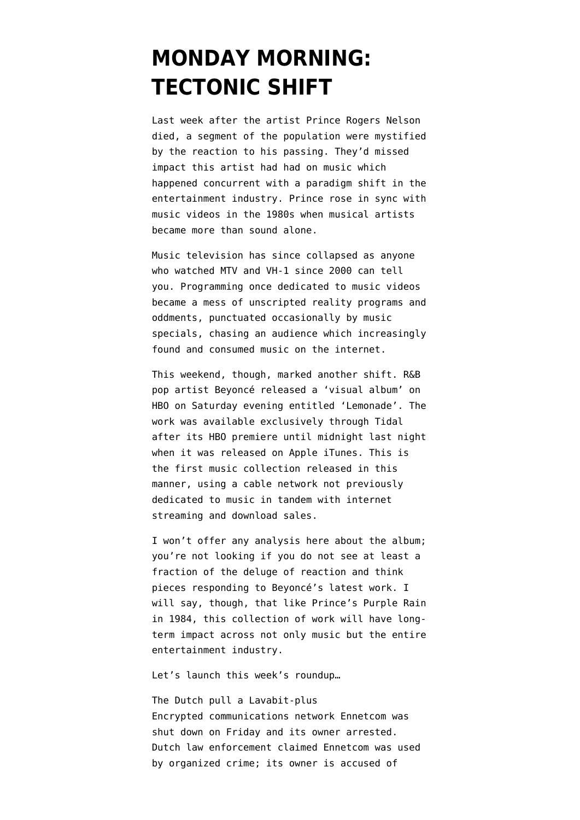## **[MONDAY MORNING:](https://www.emptywheel.net/2016/04/25/monday-morning-tectonic-shift/) [TECTONIC SHIFT](https://www.emptywheel.net/2016/04/25/monday-morning-tectonic-shift/)**

Last week after the artist [Prince Rogers Nelson](https://en.wikipedia.org/wiki/Prince_Rogers_Nelson) died, a segment of the population were mystified by the reaction to his passing. They'd missed impact this artist had had on music which happened concurrent with a paradigm shift in the entertainment industry. Prince rose in sync with music videos in the 1980s when musical artists became more than sound alone.

Music television has since collapsed as anyone who watched MTV and VH-1 since 2000 can tell you. Programming once dedicated to music videos became a mess of unscripted reality programs and oddments, punctuated occasionally by music specials, chasing an audience which increasingly found and consumed music on the internet.

This weekend, though, marked another shift. R&B pop artist [Beyoncé](https://en.wikipedia.org/wiki/Beyonc%C3%A9) released a 'visual album' on HBO on Saturday evening entitled 'Lemonade'. The work was available exclusively through Tidal after its HBO premiere until midnight last night when it was released on Apple iTunes. This is the first music collection released in this manner, using a cable network not previously dedicated to music in tandem with internet streaming and download sales.

I won't offer any analysis here about the album; you're not looking if you do not see at least a fraction of the deluge of reaction and think pieces responding to Beyoncé's latest work. I will say, though, that like Prince's Purple Rain in 1984, this collection of work will have longterm impact across not only music but the entire entertainment industry.

Let's launch this week's roundup…

The Dutch pull a Lavabit-plus Encrypted communications network Ennetcom [was](http://www.reuters.com/article/netherlands-cyber-idusl5n17p5kx) [shut down on Friday](http://www.reuters.com/article/netherlands-cyber-idusl5n17p5kx) and its owner arrested. Dutch law enforcement claimed Ennetcom was used by organized crime; its owner is accused of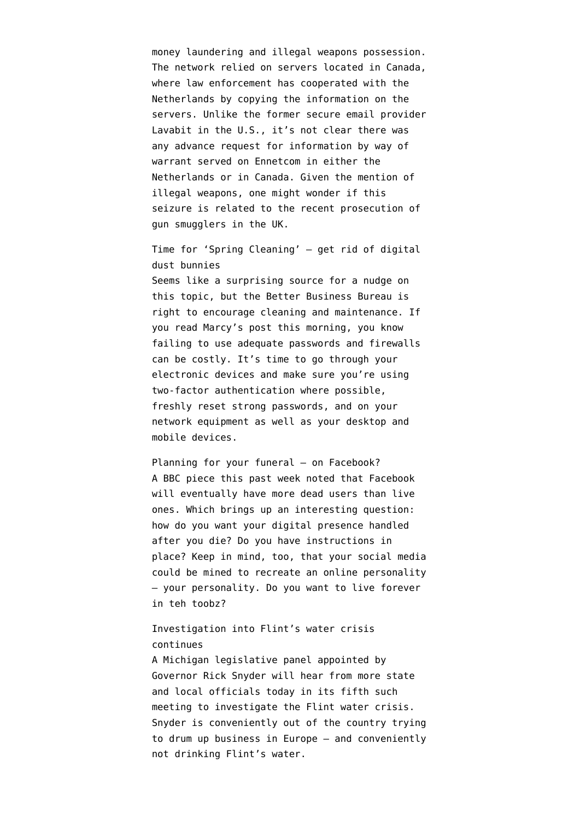money laundering and illegal weapons possession. The network relied on servers located in Canada, where law enforcement has cooperated with the Netherlands by copying the information on the servers. Unlike the former secure email provider [Lavabit](https://en.wikipedia.org/wiki/Lavabit#Suspension_and_gag_order) in the U.S., it's not clear there was any advance request for information by way of warrant served on Ennetcom in either the Netherlands or in Canada. Given the mention of illegal weapons, one might wonder if this seizure is related to the [recent prosecution of](http://www.theguardian.com/uk-news/2016/apr/21/gang-found-guilty-of-uks-largest-known-gun-smuggling-operation) [gun smugglers](http://www.theguardian.com/uk-news/2016/apr/21/gang-found-guilty-of-uks-largest-known-gun-smuggling-operation) in the UK.

dust bunnies Seems like a surprising source for a nudge on this topic, but the Better Business Bureau is right to [encourage cleaning and maintenance](http://www.wibw.com/content/news/Digital-Spring-Cleaning-encouraged-by-the-BBB-374677631.html). If you read [Marcy's post this morning](https://www.emptywheel.net/2016/04/25/turns-out-their-reassurances-were-too-swift/), you know failing to use adequate passwords and firewalls can be costly. It's time to go through your electronic devices and make sure you're using two-factor authentication where possible, freshly reset strong passwords, and on your network equipment as well as your desktop and mobile devices.

Time for 'Spring Cleaning' — get rid of digital

Planning for your funeral – on Facebook? A BBC piece this past week noted that Facebook will eventually have [more dead users than live](http://www.bbc.com/future/story/20160313-the-unstoppable-rise-of-the-facebook-dead) [ones](http://www.bbc.com/future/story/20160313-the-unstoppable-rise-of-the-facebook-dead). Which brings up an interesting question: how do you want your digital presence handled after you die? Do you have instructions in place? Keep in mind, too, that your social media [could be mined](https://www.inverse.com/article/8402-we-can-choose-between-being-immortal-on-social-media-and-dying-on-facebook) to recreate an online personality — your personality. Do you want to live forever in teh toobz?

## Investigation into Flint's water crisis continues

A Michigan legislative panel appointed by Governor Rick Snyder [will hear from more state](http://fox17online.com/2016/04/24/legislative-panel-to-hold-5th-hearing-on-flint-crisis/) [and local officials today](http://fox17online.com/2016/04/24/legislative-panel-to-hold-5th-hearing-on-flint-crisis/) in its fifth such meeting to investigate the Flint water crisis. Snyder is conveniently out of the country trying to [drum up business in Europe](http://www.freep.com/story/news/local/michigan/flint-water-crisis/2016/04/22/gov-rick-snyder-leaves-europe-saturday-amid-flint-water-crisis/83399552/) — and conveniently not drinking Flint's water.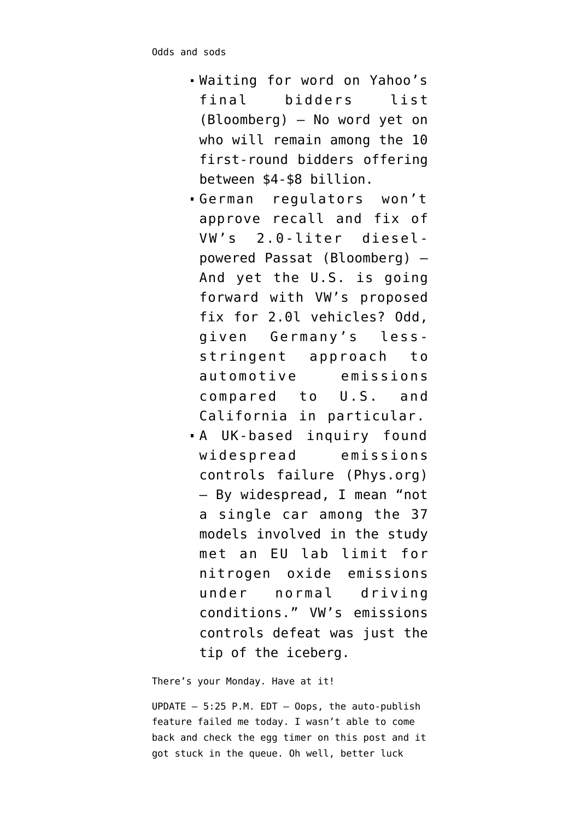- [Waiting for word](http://www.bloomberg.com/news/articles/2016-04-22/yahoo-said-to-narrow-field-of-bidders-as-soon-as-next-week) on Yahoo's final bidders list (Bloomberg) — No word yet on who will remain among the 10 first-round bidders offering between \$4-\$8 billion.
- German regulators [won't](http://www.bloomberg.com/news/articles/2016-04-25/vw-postpones-german-recall-of-tainted-passat-sedans-on-fix-delay) [approve recall and fix](http://www.bloomberg.com/news/articles/2016-04-25/vw-postpones-german-recall-of-tainted-passat-sedans-on-fix-delay) of VW's 2.0-liter dieselpowered Passat (Bloomberg) — And yet the U.S. is going forward with VW's proposed fix for 2.0l vehicles? Odd, given Germany's lessstringent approach to automotive emissions compared to U.S. and California in particular.
- A UK-based inquiry [found](http://phys.org/news/2016-04-diesel-emissions-inquiry-car-industry.html) [widespread emissions](http://phys.org/news/2016-04-diesel-emissions-inquiry-car-industry.html) [controls failure](http://phys.org/news/2016-04-diesel-emissions-inquiry-car-industry.html) (Phys.org) — By widespread, I mean "not a single car among the 37 models involved in the study met an EU lab limit for nitrogen oxide emissions under normal driving conditions." VW's emissions controls defeat was just the tip of the iceberg.

There's your Monday. Have at it!

UPDATE — 5:25 P.M. EDT — Oops, the auto-publish feature failed me today. I wasn't able to come back and check the egg timer on this post and it got stuck in the queue. Oh well, better luck